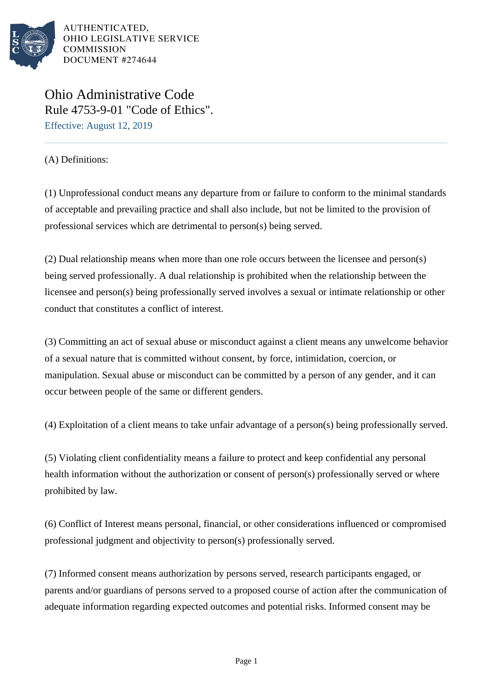

Ohio Administrative Code Rule 4753-9-01 "Code of Ethics". Effective: August 12, 2019

(A) Definitions:

(1) Unprofessional conduct means any departure from or failure to conform to the minimal standards of acceptable and prevailing practice and shall also include, but not be limited to the provision of professional services which are detrimental to person(s) being served.

 $(2)$  Dual relationship means when more than one role occurs between the licensee and person(s) being served professionally. A dual relationship is prohibited when the relationship between the licensee and person(s) being professionally served involves a sexual or intimate relationship or other conduct that constitutes a conflict of interest.

(3) Committing an act of sexual abuse or misconduct against a client means any unwelcome behavior of a sexual nature that is committed without consent, by force, intimidation, coercion, or manipulation. Sexual abuse or misconduct can be committed by a person of any gender, and it can occur between people of the same or different genders.

 $(4)$  Exploitation of a client means to take unfair advantage of a person(s) being professionally served.

(5) Violating client confidentiality means a failure to protect and keep confidential any personal health information without the authorization or consent of person(s) professionally served or where prohibited by law.

(6) Conflict of Interest means personal, financial, or other considerations influenced or compromised professional judgment and objectivity to person(s) professionally served.

(7) Informed consent means authorization by persons served, research participants engaged, or parents and/or guardians of persons served to a proposed course of action after the communication of adequate information regarding expected outcomes and potential risks. Informed consent may be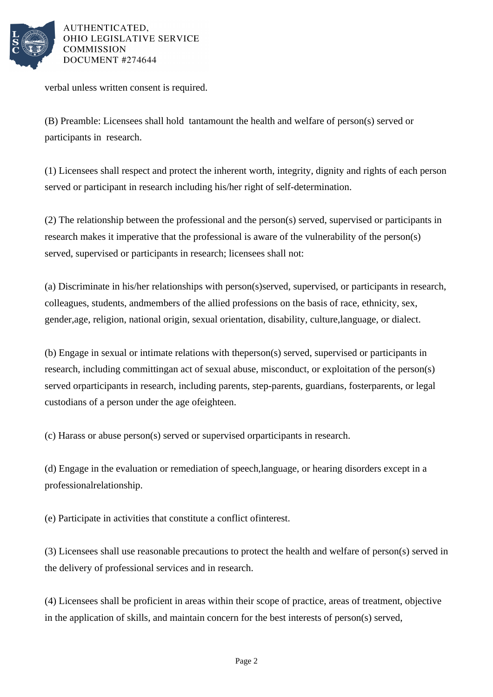

verbal unless written consent is required.

(B) Preamble: Licensees shall hold tantamount the health and welfare of person(s) served or participants in research.

(1) Licensees shall respect and protect the inherent worth, integrity, dignity and rights of each person served or participant in research including his/her right of self-determination.

 $(2)$  The relationship between the professional and the person(s) served, supervised or participants in research makes it imperative that the professional is aware of the vulnerability of the person(s) served, supervised or participants in research; licensees shall not:

(a) Discriminate in his/her relationships with person(s) served, supervised, or participants in research, colleagues, students, and members of the allied professions on the basis of race, ethnicity, sex, gender, age, religion, national origin, sexual orientation, disability, culture, language, or dialect.

(b) Engage in sexual or intimate relations with the person(s) served, supervised or participants in research, including committing an act of sexual abuse, misconduct, or exploitation of the person(s) served or participants in research, including parents, step-parents, guardians, foster parents, or legal custodians of a person under the age of eighteen.

(c) Harass or abuse person(s) served or supervised or participants in research.

(d) Engage in the evaluation or remediation of speech, language, or hearing disorders except in a professional relationship.

(e) Participate in activities that constitute a conflict of interest.

(3) Licensees shall use reasonable precautions to protect the health and welfare of person(s) served in the delivery of professional services and in research.

(4) Licensees shall be proficient in areas within their scope of practice, areas of treatment, objective in the application of skills, and maintain concern for the best interests of person(s) served,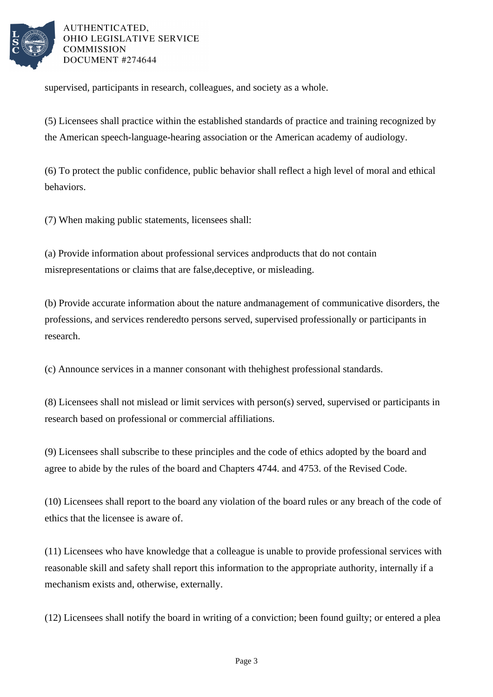

supervised, participants in research, colleagues, and society as a whole.

(5) Licensees shall practice within the established standards of practice and training recognized by the American speech-language-hearing association or the American academy of audiology.

(6) To protect the public confidence, public behavior shall reflect a high level of moral and ethical behaviors.

(7) When making public statements, licensees shall:

(a) Provide information about professional services and products that do not contain misrepresentations or claims that are false, deceptive, or misleading.

(b) Provide accurate information about the nature and management of communicative disorders, the professions, and services rendered to persons served, supervised professionally or participants in research.

(c) Announce services in a manner consonant with the highest professional standards.

(8) Licensees shall not mislead or limit services with person(s) served, supervised or participants in research based on professional or commercial affiliations.

(9) Licensees shall subscribe to these principles and the code of ethics adopted by the board and agree to abide by the rules of the board and Chapters 4744. and 4753. of the Revised Code.

(10) Licensees shall report to the board any violation of the board rules or any breach of the code of ethics that the licensee is aware of.

(11) Licensees who have knowledge that a colleague is unable to provide professional services with reasonable skill and safety shall report this information to the appropriate authority, internally if a mechanism exists and, otherwise, externally.

 $(12)$  Licensees shall notify the board in writing of a conviction; been found guilty; or entered a plea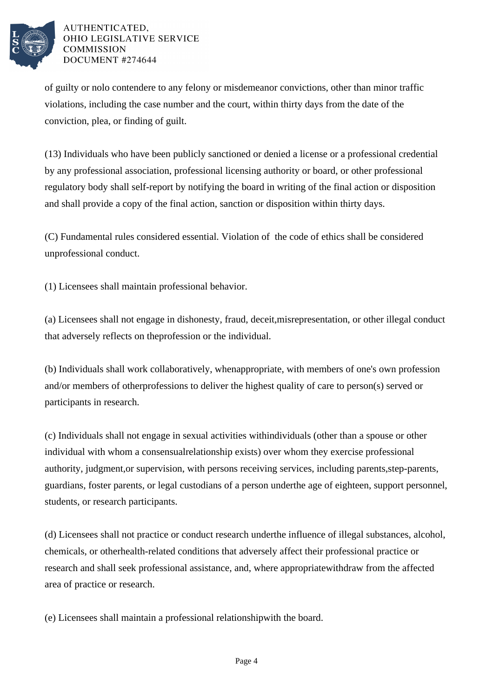

of guilty or nolo contendere to any felony or misdemeanor convictions, other than minor traffic violations, including the case number and the court, within thirty days from the date of the conviction, plea, or finding of guilt.

(13) Individuals who have been publicly sanctioned or denied a license or a professional credential by any professional association, professional licensing authority or board, or other professional regulatory body shall self-report by notifying the board in writing of the final action or disposition and shall provide a copy of the final action, sanction or disposition within thirty days.

(C) Fundamental rules considered essential. Violation of the code of ethics shall be considered unprofessional conduct.

(1) Licensees shall maintain professional behavior.

(a) Licensees shall not engage in dishonesty, fraud, deceit, misrepresentation, or other illegal conduct that adversely reflects on the profession or the individual.

(b) Individuals shall work collaboratively, when appropriate, with members of one's own profession and/or members of other professions to deliver the highest quality of care to person(s) served or participants in research.

(c) Individuals shall not engage in sexual activities with individuals (other than a spouse or other individual with whom a consensual relationship exists) over whom they exercise professional authority, judgment, or supervision, with persons receiving services, including parents, step-parents, guardians, foster parents, or legal custodians of a person under the age of eighteen, support personnel, students, or research participants. 

(d) Licensees shall not practice or conduct research under the influence of illegal substances, alcohol, chemicals, or other health-related conditions that adversely affect their professional practice or research and shall seek professional assistance, and, where appropriate withdraw from the affected area of practice or research.

(e) Licensees shall maintain a professional relationship with the board.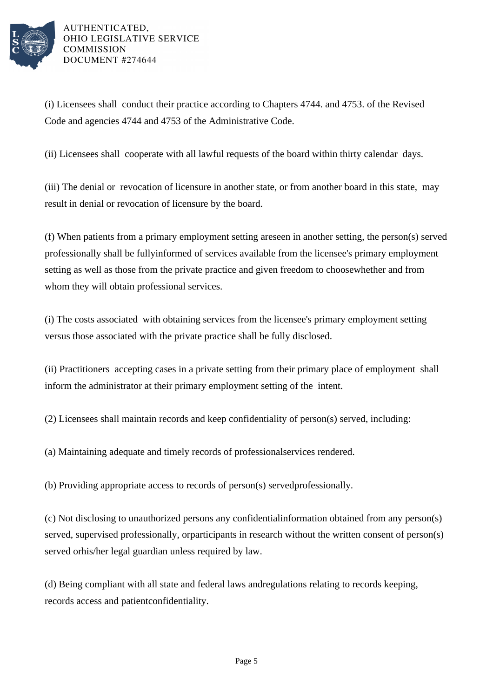

(i) Licensees shall conduct their practice according to Chapters 4744. and 4753. of the Revised Code and agencies 4744 and 4753 of the Administrative Code.

(ii) Licensees shall cooperate with all lawful requests of the board within thirty calendar days.

(iii) The denial or revocation of licensure in another state, or from another board in this state, may result in denial or revocation of licensure by the board.

(f) When patients from a primary employment setting are seen in another setting, the person(s) served professionally shall be fully informed of services available from the licensee's primary employment setting as well as those from the private practice and given freedom to choose whether and from whom they will obtain professional services.

(i) The costs associated with obtaining services from the licensee's primary employment setting versus those associated with the private practice shall be fully disclosed. 

(ii) Practitioners accepting cases in a private setting from their primary place of employment shall inform the administrator at their primary employment setting of the intent.

 $(2)$  Licensees shall maintain records and keep confidentiality of person(s) served, including:

(a) Maintaining adequate and timely records of professional services rendered.

(b) Providing appropriate access to records of person(s) served professionally.

(c) Not disclosing to unauthorized persons any confidential information obtained from any person(s) served, supervised professionally, or participants in research without the written consent of person(s) served or his/her legal guardian unless required by law.

(d) Being compliant with all state and federal laws and regulations relating to records keeping, records access and patient confidentiality.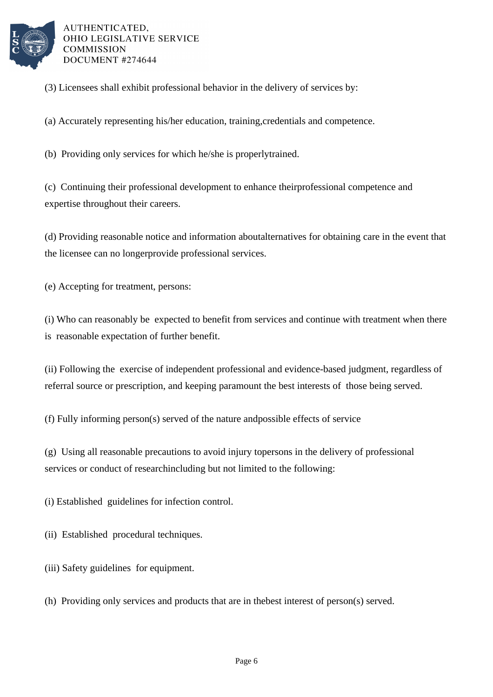

- (3) Licensees shall exhibit professional behavior in the delivery of services by:
- (a) Accurately representing his/her education, training, credentials and competence.
- (b) Providing only services for which he/she is properly trained.

(c) Continuing their professional development to enhance their professional competence and expertise throughout their careers.

(d) Providing reasonable notice and information about alternatives for obtaining care in the event that the licensee can no longer provide professional services.

(e) Accepting for treatment, persons:

(i) Who can reasonably be expected to benefit from services and continue with treatment when there is reasonable expectation of further benefit.

(ii) Following the exercise of independent professional and evidence-based judgment, regardless of referral source or prescription, and keeping paramount the best interests of those being served.

(f) Fully informing person(s) served of the nature and possible effects of service

(g) Using all reasonable precautions to avoid injury to persons in the delivery of professional services or conduct of research including but not limited to the following:

(i) Established guidelines for infection control.

- (ii) Established procedural techniques.
- (iii) Safety guidelines for equipment.
- (h) Providing only services and products that are in the best interest of person(s) served.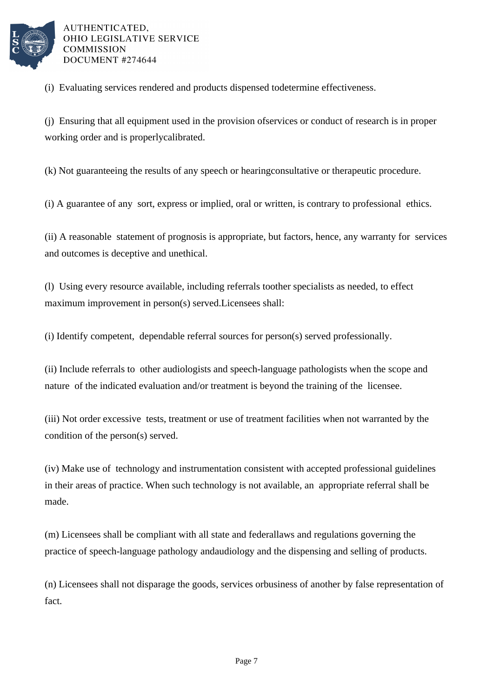

(i) Evaluating services rendered and products dispensed to determine effectiveness.

(j) Ensuring that all equipment used in the provision of services or conduct of research is in proper working order and is properly calibrated.

(k) Not guaranteeing the results of any speech or hearing consultative or therapeutic procedure.

(i) A guarantee of any sort, express or implied, oral or written, is contrary to professional ethics.

(ii) A reasonable statement of prognosis is appropriate, but factors, hence, any warranty for services and outcomes is deceptive and unethical.

(l) Using every resource available, including referrals to other specialists as needed, to effect maximum improvement in person(s) served. Licensees shall:

(i) Identify competent, dependable referral sources for person(s) served professionally.

(ii) Include referrals to other audiologists and speech-language pathologists when the scope and nature of the indicated evaluation and/or treatment is beyond the training of the licensee.

(iii) Not order excessive tests, treatment or use of treatment facilities when not warranted by the condition of the person(s) served.

(iv) Make use of technology and instrumentation consistent with accepted professional guidelines in their areas of practice. When such technology is not available, an appropriate referral shall be made.

(m) Licensees shall be compliant with all state and federal laws and regulations governing the practice of speech-language pathology and audiology and the dispensing and selling of products.

(n) Licensees shall not disparage the goods, services or business of another by false representation of fact.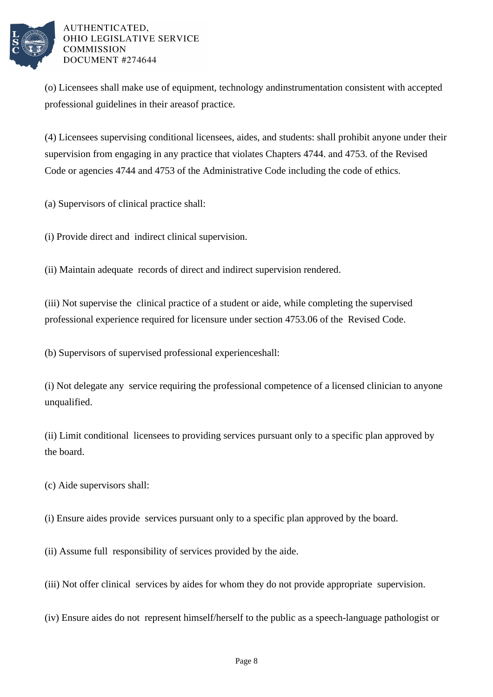

(o) Licensees shall make use of equipment, technology and instrumentation consistent with accepted professional guidelines in their areas of practice.

(4) Licensees supervising conditional licensees, aides, and students: shall prohibit anyone under their supervision from engaging in any practice that violates Chapters 4744, and 4753, of the Revised Code or agencies 4744 and 4753 of the Administrative Code including the code of ethics.

(a) Supervisors of clinical practice shall:

(i) Provide direct and indirect clinical supervision.

(ii) Maintain adequate records of direct and indirect supervision rendered.

(iii) Not supervise the clinical practice of a student or aide, while completing the supervised professional experience required for licensure under section 4753.06 of the Revised Code.

(b) Supervisors of supervised professional experience shall:

(i) Not delegate any service requiring the professional competence of a licensed clinician to anyone unqualified.

(ii) Limit conditional licensees to providing services pursuant only to a specific plan approved by the board.

(c) Aide supervisors shall:

(i) Ensure aides provide services pursuant only to a specific plan approved by the board.

(ii) Assume full responsibility of services provided by the aide.

(iii) Not offer clinical services by aides for whom they do not provide appropriate supervision.

(iv) Ensure aides do not represent himself/herself to the public as a speech-language pathologist or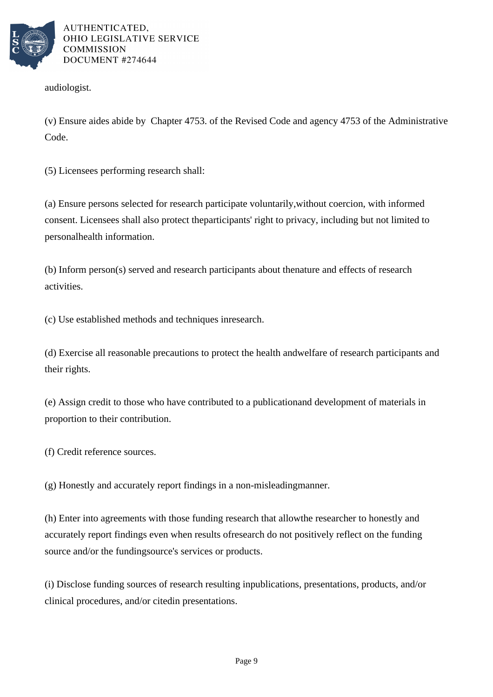

audiologist.

(v) Ensure aides abide by Chapter 4753. of the Revised Code and agency 4753 of the Administrative Code.

(5) Licensees performing research shall:

(a) Ensure persons selected for research participate voluntarily, without coercion, with informed consent. Licensees shall also protect the participants' right to privacy, including but not limited to personal health information.

(b) Inform person(s) served and research participants about the nature and effects of research activities.

(c) Use established methods and techniques in research.

(d) Exercise all reasonable precautions to protect the health and welfare of research participants and their rights.

(e) Assign credit to those who have contributed to a publication and development of materials in proportion to their contribution.

(f) Credit reference sources.

(g) Honestly and accurately report findings in a non-misleading manner.

(h) Enter into agreements with those funding research that allow the researcher to honestly and accurately report findings even when results of research do not positively reflect on the funding source and/or the funding source's services or products.

(i) Disclose funding sources of research resulting in publications, presentations, products, and/or clinical procedures, and/or cited in presentations.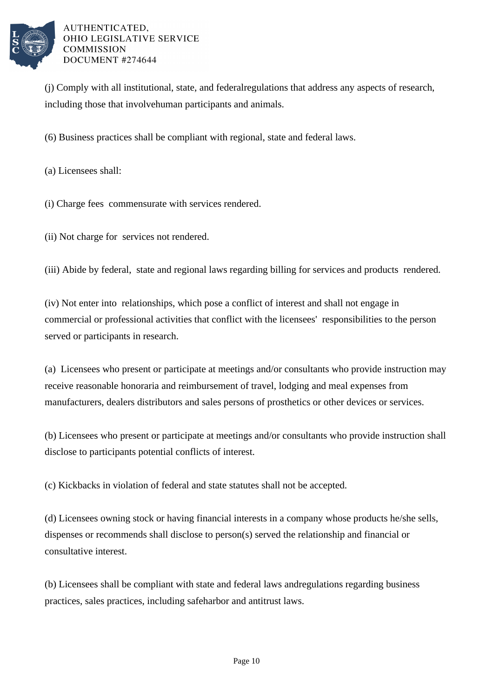

(i) Comply with all institutional, state, and federal regulations that address any aspects of research, including those that involve human participants and animals.

(6) Business practices shall be compliant with regional, state and federal laws.

(a) Licensees shall:

(i) Charge fees commensurate with services rendered.

(ii) Not charge for services not rendered.

(iii) Abide by federal, state and regional laws regarding billing for services and products rendered.

(iv) Not enter into relationships, which pose a conflict of interest and shall not engage in commercial or professional activities that conflict with the licensees' responsibilities to the person served or participants in research.

(a) Licensees who present or participate at meetings and/or consultants who provide instruction may receive reasonable honoraria and reimbursement of travel, lodging and meal expenses from manufacturers, dealers distributors and sales persons of prosthetics or other devices or services.

(b) Licensees who present or participate at meetings and/or consultants who provide instruction shall disclose to participants potential conflicts of interest.

(c) Kickbacks in violation of federal and state statutes shall not be accepted.

(d) Licensees owning stock or having financial interests in a company whose products he/she sells, dispenses or recommends shall disclose to person(s) served the relationship and financial or consultative interest.

(b) Licensees shall be compliant with state and federal laws and regulations regarding business practices, sales practices, including safe harbor and antitrust laws.